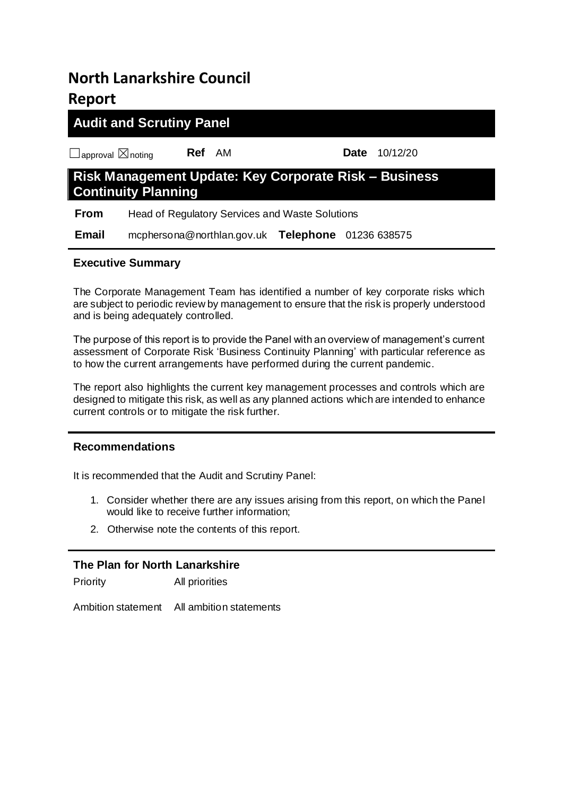# **North Lanarkshire Council Report**

## **Audit and Scrutiny Panel**

☐approval ☒noting **Ref** AM **Date** 10/12/20

## **Risk Management Update: Key Corporate Risk – Business Continuity Planning**

**From** Head of Regulatory Services and Waste Solutions

 **Email** mcphersona@northlan.gov.uk **Telephone** 01236 638575

## **Executive Summary**

The Corporate Management Team has identified a number of key corporate risks which are subject to periodic review by management to ensure that the risk is properly understood and is being adequately controlled.

The purpose of this report is to provide the Panel with an overview of management's current assessment of Corporate Risk 'Business Continuity Planning' with particular reference as to how the current arrangements have performed during the current pandemic.

The report also highlights the current key management processes and controls which are designed to mitigate this risk, as well as any planned actions which are intended to enhance current controls or to mitigate the risk further.

## **Recommendations**

It is recommended that the Audit and Scrutiny Panel:

- 1. Consider whether there are any issues arising from this report, on which the Panel would like to receive further information;
- 2. Otherwise note the contents of this report.

## **The Plan for North Lanarkshire**

Priority All priorities

Ambition statement All ambition statements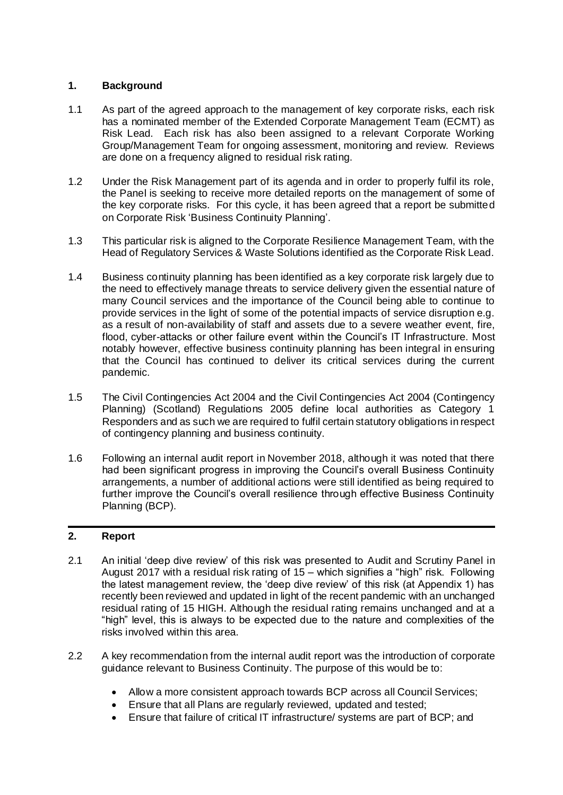## **1. Background**

- 1.1 As part of the agreed approach to the management of key corporate risks, each risk has a nominated member of the Extended Corporate Management Team (ECMT) as Risk Lead. Each risk has also been assigned to a relevant Corporate Working Group/Management Team for ongoing assessment, monitoring and review. Reviews are done on a frequency aligned to residual risk rating.
- 1.2 Under the Risk Management part of its agenda and in order to properly fulfil its role, the Panel is seeking to receive more detailed reports on the management of some of the key corporate risks. For this cycle, it has been agreed that a report be submitted on Corporate Risk 'Business Continuity Planning'.
- 1.3 This particular risk is aligned to the Corporate Resilience Management Team, with the Head of Regulatory Services & Waste Solutions identified as the Corporate Risk Lead.
- 1.4 Business continuity planning has been identified as a key corporate risk largely due to the need to effectively manage threats to service delivery given the essential nature of many Council services and the importance of the Council being able to continue to provide services in the light of some of the potential impacts of service disruption e.g. as a result of non-availability of staff and assets due to a severe weather event, fire, flood, cyber-attacks or other failure event within the Council's IT Infrastructure. Most notably however, effective business continuity planning has been integral in ensuring that the Council has continued to deliver its critical services during the current pandemic.
- 1.5 The Civil Contingencies Act 2004 and the Civil Contingencies Act 2004 (Contingency Planning) (Scotland) Regulations 2005 define local authorities as Category 1 Responders and as such we are required to fulfil certain statutory obligations in respect of contingency planning and business continuity.
- 1.6 Following an internal audit report in November 2018, although it was noted that there had been significant progress in improving the Council's overall Business Continuity arrangements, a number of additional actions were still identified as being required to further improve the Council's overall resilience through effective Business Continuity Planning (BCP).

## **2. Report**

- 2.1 An initial 'deep dive review' of this risk was presented to Audit and Scrutiny Panel in August 2017 with a residual risk rating of 15 – which signifies a "high" risk. Following the latest management review, the 'deep dive review' of this risk (at Appendix 1) has recently been reviewed and updated in light of the recent pandemic with an unchanged residual rating of 15 HIGH. Although the residual rating remains unchanged and at a "high" level, this is always to be expected due to the nature and complexities of the risks involved within this area.
- 2.2 A key recommendation from the internal audit report was the introduction of corporate guidance relevant to Business Continuity. The purpose of this would be to:
	- Allow a more consistent approach towards BCP across all Council Services;
	- Ensure that all Plans are regularly reviewed, updated and tested;
	- Ensure that failure of critical IT infrastructure/ systems are part of BCP; and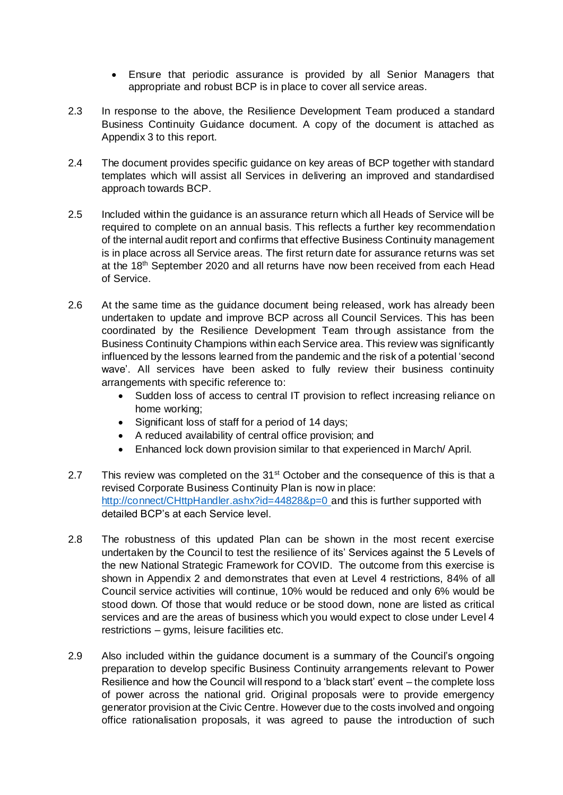- Ensure that periodic assurance is provided by all Senior Managers that appropriate and robust BCP is in place to cover all service areas.
- 2.3 In response to the above, the Resilience Development Team produced a standard Business Continuity Guidance document. A copy of the document is attached as Appendix 3 to this report.
- 2.4 The document provides specific guidance on key areas of BCP together with standard templates which will assist all Services in delivering an improved and standardised approach towards BCP.
- 2.5 Included within the guidance is an assurance return which all Heads of Service will be required to complete on an annual basis. This reflects a further key recommendation of the internal audit report and confirms that effective Business Continuity management is in place across all Service areas. The first return date for assurance returns was set at the 18<sup>th</sup> September 2020 and all returns have now been received from each Head of Service.
- 2.6 At the same time as the guidance document being released, work has already been undertaken to update and improve BCP across all Council Services. This has been coordinated by the Resilience Development Team through assistance from the Business Continuity Champions within each Service area. This review was significantly influenced by the lessons learned from the pandemic and the risk of a potential 'second wave'. All services have been asked to fully review their business continuity arrangements with specific reference to:
	- Sudden loss of access to central IT provision to reflect increasing reliance on home working;
	- Significant loss of staff for a period of 14 days;
	- A reduced availability of central office provision; and
	- Enhanced lock down provision similar to that experienced in March/ April.
- 2.7 This review was completed on the  $31<sup>st</sup>$  October and the consequence of this is that a revised Corporate Business Continuity Plan is now in place: <http://connect/CHttpHandler.ashx?id=44828&p=0> and this is further supported with detailed BCP's at each Service level.
- 2.8 The robustness of this updated Plan can be shown in the most recent exercise undertaken by the Council to test the resilience of its' Services against the 5 Levels of the new National Strategic Framework for COVID. The outcome from this exercise is shown in Appendix 2 and demonstrates that even at Level 4 restrictions, 84% of all Council service activities will continue, 10% would be reduced and only 6% would be stood down. Of those that would reduce or be stood down, none are listed as critical services and are the areas of business which you would expect to close under Level 4 restrictions – gyms, leisure facilities etc.
- 2.9 Also included within the guidance document is a summary of the Council's ongoing preparation to develop specific Business Continuity arrangements relevant to Power Resilience and how the Council will respond to a 'black start' event – the complete loss of power across the national grid. Original proposals were to provide emergency generator provision at the Civic Centre. However due to the costs involved and ongoing office rationalisation proposals, it was agreed to pause the introduction of such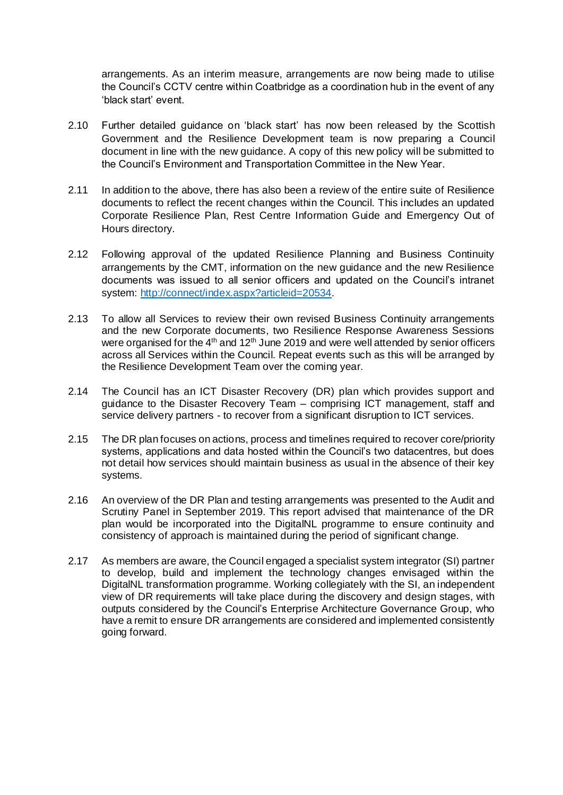arrangements. As an interim measure, arrangements are now being made to utilise the Council's CCTV centre within Coatbridge as a coordination hub in the event of any 'black start' event.

- 2.10 Further detailed guidance on 'black start' has now been released by the Scottish Government and the Resilience Development team is now preparing a Council document in line with the new guidance. A copy of this new policy will be submitted to the Council's Environment and Transportation Committee in the New Year.
- 2.11 In addition to the above, there has also been a review of the entire suite of Resilience documents to reflect the recent changes within the Council. This includes an updated Corporate Resilience Plan, Rest Centre Information Guide and Emergency Out of Hours directory.
- 2.12 Following approval of the updated Resilience Planning and Business Continuity arrangements by the CMT, information on the new guidance and the new Resilience documents was issued to all senior officers and updated on the Council's intranet system: [http://connect/index.aspx?articleid=20534.](http://connect/index.aspx?articleid=20534)
- 2.13 To allow all Services to review their own revised Business Continuity arrangements and the new Corporate documents, two Resilience Response Awareness Sessions were organised for the  $4<sup>th</sup>$  and 12<sup>th</sup> June 2019 and were well attended by senior officers across all Services within the Council. Repeat events such as this will be arranged by the Resilience Development Team over the coming year.
- 2.14 The Council has an ICT Disaster Recovery (DR) plan which provides support and guidance to the Disaster Recovery Team – comprising ICT management, staff and service delivery partners - to recover from a significant disruption to ICT services.
- 2.15 The DR plan focuses on actions, process and timelines required to recover core/priority systems, applications and data hosted within the Council's two datacentres, but does not detail how services should maintain business as usual in the absence of their key systems.
- 2.16 An overview of the DR Plan and testing arrangements was presented to the Audit and Scrutiny Panel in September 2019. This report advised that maintenance of the DR plan would be incorporated into the DigitalNL programme to ensure continuity and consistency of approach is maintained during the period of significant change.
- 2.17 As members are aware, the Council engaged a specialist system integrator (SI) partner to develop, build and implement the technology changes envisaged within the DigitalNL transformation programme. Working collegiately with the SI, an independent view of DR requirements will take place during the discovery and design stages, with outputs considered by the Council's Enterprise Architecture Governance Group, who have a remit to ensure DR arrangements are considered and implemented consistently going forward.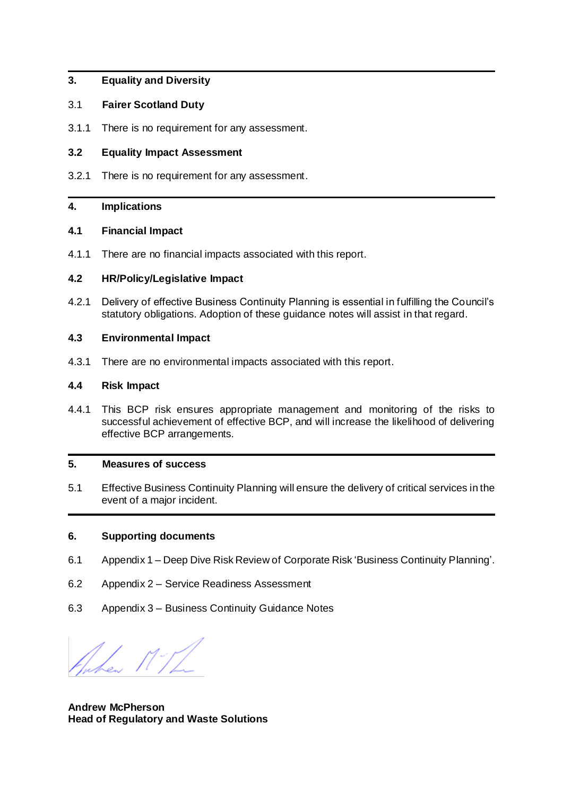## **3. Equality and Diversity**

## 3.1 **Fairer Scotland Duty**

3.1.1 There is no requirement for any assessment.

## **3.2 Equality Impact Assessment**

3.2.1 There is no requirement for any assessment.

## **4. Implications**

#### **4.1 Financial Impact**

4.1.1 There are no financial impacts associated with this report.

#### **4.2 HR/Policy/Legislative Impact**

4.2.1 Delivery of effective Business Continuity Planning is essential in fulfilling the Council's statutory obligations. Adoption of these guidance notes will assist in that regard.

## **4.3 Environmental Impact**

4.3.1 There are no environmental impacts associated with this report.

#### **4.4 Risk Impact**

4.4.1 This BCP risk ensures appropriate management and monitoring of the risks to successful achievement of effective BCP, and will increase the likelihood of delivering effective BCP arrangements.

#### **5. Measures of success**

5.1 Effective Business Continuity Planning will ensure the delivery of critical services in the event of a major incident.

#### **6. Supporting documents**

- 6.1 Appendix 1 Deep Dive Risk Review of Corporate Risk 'Business Continuity Planning'.
- 6.2 Appendix 2 Service Readiness Assessment
- 6.3 Appendix 3 Business Continuity Guidance Notes

Anhen 11/L

**Andrew McPherson Head of Regulatory and Waste Solutions**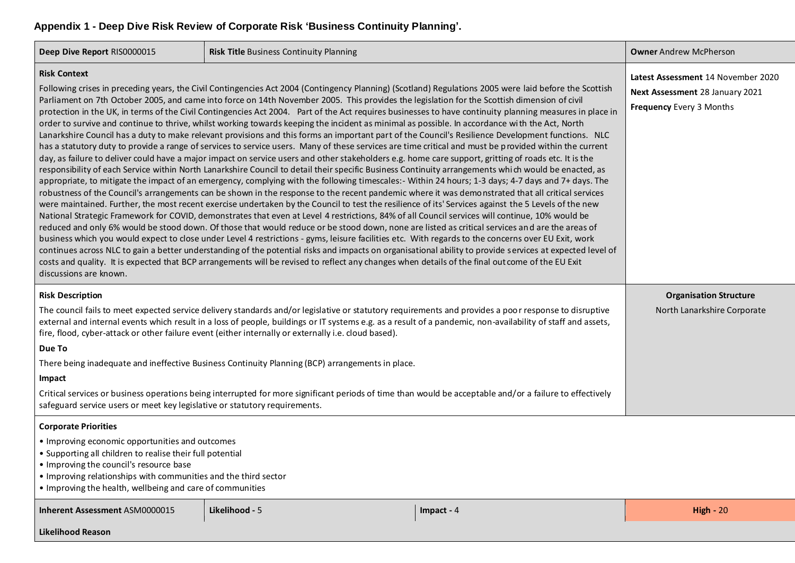## **Appendix 1 - Deep Dive Risk Review of Corporate Risk 'Business Continuity Planning'.**

**Deep Dive Report** RIS0000015 **Risk Title** Business Continuity Planning **Risk Continuity Planning Andrew McPherson** 

#### **Risk Context**

Following crises in preceding years, the Civil Contingencies Act 2004 (Contingency Planning) (Scotland) Regulations 2005 were laid before the Scottish Parliament on 7th October 2005, and came into force on 14th November 2005. This provides the legislation for the Scottish dimension of civil protection in the UK, in terms of the Civil Contingencies Act 2004. Part of the Act requires businesses to have continuity planning measures in place in order to survive and continue to thrive, whilst working towards keeping the incident as minimal as possible. In accordance with the Act, North Lanarkshire Council has a duty to make relevant provisions and this forms an important part of the Council's Resilience Development functions. NLC has a statutory duty to provide a range of services to service users. Many of these services are time critical and must be provided within the current day, as failure to deliver could have a major impact on service users and other stakeholders e.g. home care support, gritting of roads etc. It is the responsibility of each Service within North Lanarkshire Council to detail their specific Business Continuity arrangements whi ch would be enacted, as appropriate, to mitigate the impact of an emergency, complying with the following timescales:- Within 24 hours; 1-3 days; 4-7 days and 7+ days. The robustness of the Council's arrangements can be shown in the response to the recent pandemic where it was demonstrated that all critical services were maintained. Further, the most recent exercise undertaken by the Council to test the resilience of its' Services against the 5 Levels of the new National Strategic Framework for COVID, demonstrates that even at Level 4 restrictions, 84% of all Council services will continue, 10% would be reduced and only 6% would be stood down. Of those that would reduce or be stood down, none are listed as critical services and are the areas of business which you would expect to close under Level 4 restrictions - gyms, leisure facilities etc. With regards to the concerns over EU Exit, work continues across NLC to gain a better understanding of the potential risks and impacts on organisational ability to provide services at expected level of costs and quality. It is expected that BCP arrangements will be revised to reflect any changes when details of the final out come of the EU Exit discussions are known. **Latest Assessment** 14 November 2020 **Next Assessment** 28 January 2021 **Frequency** Every 3 Months **Risk Description** The council fails to meet expected service delivery standards and/or legislative or statutory requirements and provides a poor response to disruptive external and internal events which result in a loss of people, buildings or IT systems e.g. as a result of a pandemic, non-availability of staff and assets, fire, flood, cyber-attack or other failure event (either internally or externally i.e. cloud based). **Organisation Structure** North Lanarkshire Corporate

#### **Due To**

There being inadequate and ineffective Business Continuity Planning (BCP) arrangements in place.

#### **Impact**

Critical services or business operations being interrupted for more significant periods of time than would be acceptable and/or a failure to effectively safeguard service users or meet key legislative or statutory requirements.

#### **Corporate Priorities**

- Improving economic opportunities and outcomes
- Supporting all children to realise their full potential
- Improving the council's resource base
- Improving relationships with communities and the third sector
- Improving the health, wellbeing and care of communities

| Inherent Assessment ASM0000015 | Likelihood - L | $Im$ pact - 4 | $High - 20$ |
|--------------------------------|----------------|---------------|-------------|
| Likelihood Reason              |                |               |             |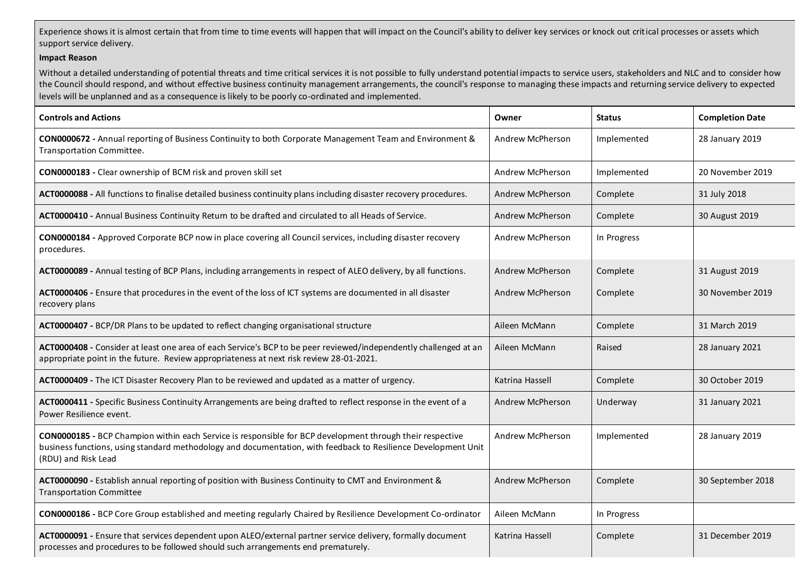Experience shows it is almost certain that from time to time events will happen that will impact on the Council's ability to deliver key services or knock out critical processes or assets which support service delivery.

#### **Impact Reason**

Without a detailed understanding of potential threats and time critical services it is not possible to fully understand potential impacts to service users, stakeholders and NLC and to consider how the Council should respond, and without effective business continuity management arrangements, the council's response to managing these impacts and returning service delivery to expected levels will be unplanned and as a consequence is likely to be poorly co-ordinated and implemented.

| <b>Controls and Actions</b>                                                                                                                                                                                                                               | Owner                   | <b>Status</b> | <b>Completion Date</b> |
|-----------------------------------------------------------------------------------------------------------------------------------------------------------------------------------------------------------------------------------------------------------|-------------------------|---------------|------------------------|
| CON0000672 - Annual reporting of Business Continuity to both Corporate Management Team and Environment &<br>Transportation Committee.                                                                                                                     | Andrew McPherson        | Implemented   | 28 January 2019        |
| CON0000183 - Clear ownership of BCM risk and proven skill set                                                                                                                                                                                             | Andrew McPherson        | Implemented   | 20 November 2019       |
| ACT0000088 - All functions to finalise detailed business continuity plans including disaster recovery procedures.                                                                                                                                         | <b>Andrew McPherson</b> | Complete      | 31 July 2018           |
| ACT0000410 - Annual Business Continuity Return to be drafted and circulated to all Heads of Service.                                                                                                                                                      | <b>Andrew McPherson</b> | Complete      | 30 August 2019         |
| CON0000184 - Approved Corporate BCP now in place covering all Council services, including disaster recovery<br>procedures.                                                                                                                                | Andrew McPherson        | In Progress   |                        |
| ACT0000089 - Annual testing of BCP Plans, including arrangements in respect of ALEO delivery, by all functions.                                                                                                                                           | <b>Andrew McPherson</b> | Complete      | 31 August 2019         |
| ACT0000406 - Ensure that procedures in the event of the loss of ICT systems are documented in all disaster<br>recovery plans                                                                                                                              | <b>Andrew McPherson</b> | Complete      | 30 November 2019       |
| ACT0000407 - BCP/DR Plans to be updated to reflect changing organisational structure                                                                                                                                                                      | Aileen McMann           | Complete      | 31 March 2019          |
| ACT0000408 - Consider at least one area of each Service's BCP to be peer reviewed/independently challenged at an<br>appropriate point in the future. Review appropriateness at next risk review 28-01-2021.                                               | Aileen McMann           | Raised        | 28 January 2021        |
| ACT0000409 - The ICT Disaster Recovery Plan to be reviewed and updated as a matter of urgency.                                                                                                                                                            | Katrina Hassell         | Complete      | 30 October 2019        |
| ACT0000411 - Specific Business Continuity Arrangements are being drafted to reflect response in the event of a<br>Power Resilience event.                                                                                                                 | <b>Andrew McPherson</b> | Underway      | 31 January 2021        |
| <b>CON0000185</b> - BCP Champion within each Service is responsible for BCP development through their respective<br>business functions, using standard methodology and documentation, with feedback to Resilience Development Unit<br>(RDU) and Risk Lead | <b>Andrew McPherson</b> | Implemented   | 28 January 2019        |
| ACT0000090 - Establish annual reporting of position with Business Continuity to CMT and Environment &<br><b>Transportation Committee</b>                                                                                                                  | <b>Andrew McPherson</b> | Complete      | 30 September 2018      |
| CON0000186 - BCP Core Group established and meeting regularly Chaired by Resilience Development Co-ordinator                                                                                                                                              | Aileen McMann           | In Progress   |                        |
| ACT0000091 - Ensure that services dependent upon ALEO/external partner service delivery, formally document<br>processes and procedures to be followed should such arrangements end prematurely.                                                           | Katrina Hassell         | Complete      | 31 December 2019       |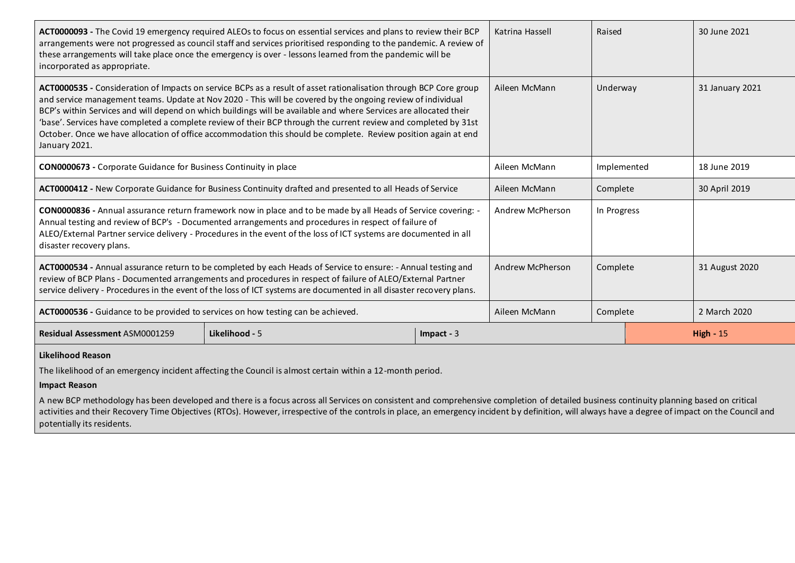| ACT0000093 - The Covid 19 emergency required ALEOs to focus on essential services and plans to review their BCP<br>arrangements were not progressed as council staff and services prioritised responding to the pandemic. A review of<br>these arrangements will take place once the emergency is over - lessons learned from the pandemic will be<br>incorporated as appropriate.                                                                                                                                                                                                                          | Katrina Hassell | Raised       |                         | 30 June 2021 |            |                 |
|-------------------------------------------------------------------------------------------------------------------------------------------------------------------------------------------------------------------------------------------------------------------------------------------------------------------------------------------------------------------------------------------------------------------------------------------------------------------------------------------------------------------------------------------------------------------------------------------------------------|-----------------|--------------|-------------------------|--------------|------------|-----------------|
| ACT0000535 - Consideration of Impacts on service BCPs as a result of asset rationalisation through BCP Core group<br>and service management teams. Update at Nov 2020 - This will be covered by the ongoing review of individual<br>BCP's within Services and will depend on which buildings will be available and where Services are allocated their<br>'base'. Services have completed a complete review of their BCP through the current review and completed by 31st<br>October. Once we have allocation of office accommodation this should be complete. Review position again at end<br>January 2021. |                 |              | Aileen McMann           | Underway     |            | 31 January 2021 |
| CON0000673 - Corporate Guidance for Business Continuity in place                                                                                                                                                                                                                                                                                                                                                                                                                                                                                                                                            |                 |              | Aileen McMann           | Implemented  |            | 18 June 2019    |
| ACT0000412 - New Corporate Guidance for Business Continuity drafted and presented to all Heads of Service                                                                                                                                                                                                                                                                                                                                                                                                                                                                                                   |                 |              | Aileen McMann           | Complete     |            | 30 April 2019   |
| cON0000836 - Annual assurance return framework now in place and to be made by all Heads of Service covering: -<br>Annual testing and review of BCP's - Documented arrangements and procedures in respect of failure of<br>ALEO/External Partner service delivery - Procedures in the event of the loss of ICT systems are documented in all<br>disaster recovery plans.                                                                                                                                                                                                                                     |                 |              | Andrew McPherson        | In Progress  |            |                 |
| ACT0000534 - Annual assurance return to be completed by each Heads of Service to ensure: - Annual testing and<br>review of BCP Plans - Documented arrangements and procedures in respect of failure of ALEO/External Partner<br>service delivery - Procedures in the event of the loss of ICT systems are documented in all disaster recovery plans.                                                                                                                                                                                                                                                        |                 |              | <b>Andrew McPherson</b> | Complete     |            | 31 August 2020  |
| ACT0000536 - Guidance to be provided to services on how testing can be achieved.                                                                                                                                                                                                                                                                                                                                                                                                                                                                                                                            |                 |              | Aileen McMann           | Complete     |            | 2 March 2020    |
| Residual Assessment ASM0001259                                                                                                                                                                                                                                                                                                                                                                                                                                                                                                                                                                              | Likelihood - 5  | Impact - $3$ |                         |              | High $-15$ |                 |
| <b>Likelihood Reason</b>                                                                                                                                                                                                                                                                                                                                                                                                                                                                                                                                                                                    |                 |              |                         |              |            |                 |

The likelihood of an emergency incident affecting the Council is almost certain within a 12-month period.

#### **Impact Reason**

A new BCP methodology has been developed and there is a focus across all Services on consistent and comprehensive completion of detailed business continuity planning based on critical activities and their Recovery Time Objectives (RTOs). However, irrespective of the controls in place, an emergency incident by definition, will always have a degree of impact on the Council and potentially its residents.